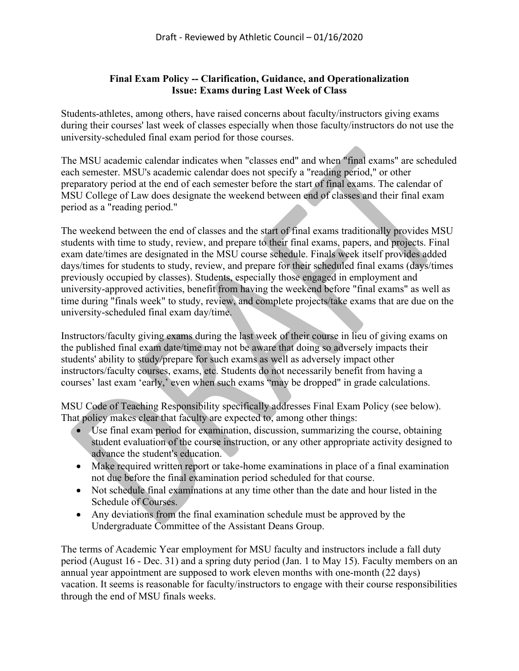## **Final Exam Policy -- Clarification, Guidance, and Operationalization Issue: Exams during Last Week of Class**

Students-athletes, among others, have raised concerns about faculty/instructors giving exams during their courses' last week of classes especially when those faculty/instructors do not use the university-scheduled final exam period for those courses.

The MSU academic calendar indicates when "classes end" and when "final exams" are scheduled each semester. MSU's academic calendar does not specify a "reading period," or other preparatory period at the end of each semester before the start of final exams. The calendar of MSU College of Law does designate the weekend between end of classes and their final exam period as a "reading period."

The weekend between the end of classes and the start of final exams traditionally provides MSU students with time to study, review, and prepare to their final exams, papers, and projects. Final exam date/times are designated in the MSU course schedule. Finals week itself provides added days/times for students to study, review, and prepare for their scheduled final exams (days/times previously occupied by classes). Students, especially those engaged in employment and university-approved activities, benefit from having the weekend before "final exams" as well as time during "finals week" to study, review, and complete projects/take exams that are due on the university-scheduled final exam day/time.

Instructors/faculty giving exams during the last week of their course in lieu of giving exams on the published final exam date/time may not be aware that doing so adversely impacts their students' ability to study/prepare for such exams as well as adversely impact other instructors/faculty courses, exams, etc. Students do not necessarily benefit from having a courses' last exam 'early,' even when such exams "may be dropped" in grade calculations.

MSU Code of Teaching Responsibility specifically addresses Final Exam Policy (see below). That policy makes clear that faculty are expected to, among other things:

- Use final exam period for examination, discussion, summarizing the course, obtaining student evaluation of the course instruction, or any other appropriate activity designed to advance the student's education.
- Make required written report or take-home examinations in place of a final examination not due before the final examination period scheduled for that course.
- Not schedule final examinations at any time other than the date and hour listed in the Schedule of Courses.
- Any deviations from the final examination schedule must be approved by the Undergraduate Committee of the Assistant Deans Group.

The terms of Academic Year employment for MSU faculty and instructors include a fall duty period (August 16 - Dec. 31) and a spring duty period (Jan. 1 to May 15). Faculty members on an annual year appointment are supposed to work eleven months with one-month (22 days) vacation. It seems is reasonable for faculty/instructors to engage with their course responsibilities through the end of MSU finals weeks.